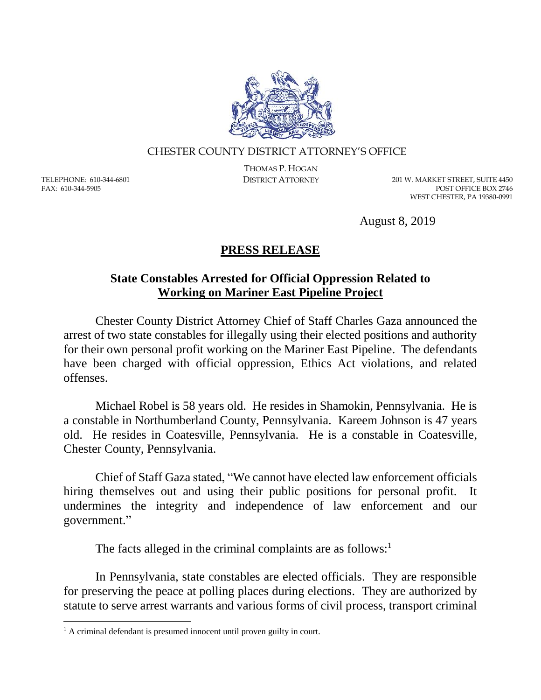

## CHESTER COUNTY DISTRICT ATTORNEY'S OFFICE

TELEPHONE: 610-344-6801 FAX: 610-344-5905

 $\overline{a}$ 

THOMAS P. HOGAN

DISTRICT ATTORNEY 201 W. MARKET STREET, SUITE 4450 POST OFFICE BOX 2746 WEST CHESTER, PA 19380-0991

August 8, 2019

## **PRESS RELEASE**

## **State Constables Arrested for Official Oppression Related to Working on Mariner East Pipeline Project**

Chester County District Attorney Chief of Staff Charles Gaza announced the arrest of two state constables for illegally using their elected positions and authority for their own personal profit working on the Mariner East Pipeline. The defendants have been charged with official oppression, Ethics Act violations, and related offenses.

Michael Robel is 58 years old. He resides in Shamokin, Pennsylvania. He is a constable in Northumberland County, Pennsylvania. Kareem Johnson is 47 years old. He resides in Coatesville, Pennsylvania. He is a constable in Coatesville, Chester County, Pennsylvania.

Chief of Staff Gaza stated, "We cannot have elected law enforcement officials hiring themselves out and using their public positions for personal profit. It undermines the integrity and independence of law enforcement and our government."

The facts alleged in the criminal complaints are as follows: $<sup>1</sup>$ </sup>

In Pennsylvania, state constables are elected officials. They are responsible for preserving the peace at polling places during elections. They are authorized by statute to serve arrest warrants and various forms of civil process, transport criminal

<sup>&</sup>lt;sup>1</sup> A criminal defendant is presumed innocent until proven guilty in court.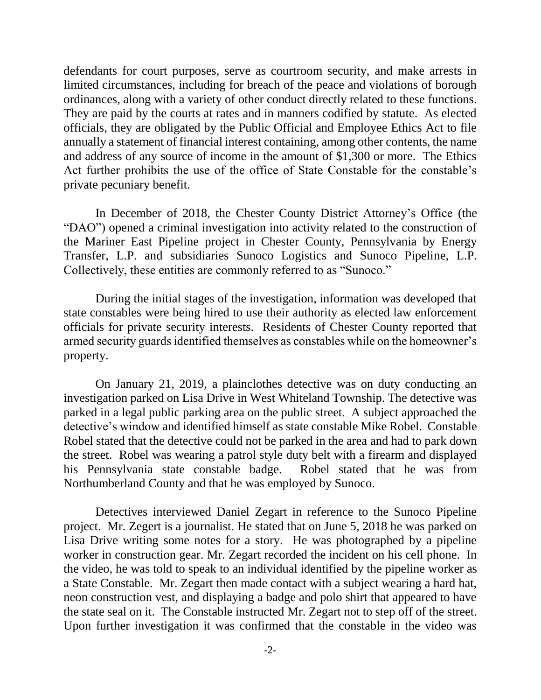defendants for court purposes, serve as courtroom security, and make arrests in limited circumstances, including for breach of the peace and violations of borough ordinances, along with a variety of other conduct directly related to these functions. They are paid by the courts at rates and in manners codified by statute. As elected officials, they are obligated by the Public Official and Employee Ethics Act to file annually a statement of financial interest containing, among other contents, the name and address of any source of income in the amount of \$1,300 or more. The Ethics Act further prohibits the use of the office of State Constable for the constable's private pecuniary benefit.

In December of 2018, the Chester County District Attorney's Office (the "DAO") opened a criminal investigation into activity related to the construction of the Mariner East Pipeline project in Chester County, Pennsylvania by Energy Transfer, L.P. and subsidiaries Sunoco Logistics and Sunoco Pipeline, L.P. Collectively, these entities are commonly referred to as "Sunoco."

During the initial stages of the investigation, information was developed that state constables were being hired to use their authority as elected law enforcement officials for private security interests. Residents of Chester County reported that armed security guards identified themselves as constables while on the homeowner's property.

On January 21, 2019, a plainclothes detective was on duty conducting an investigation parked on Lisa Drive in West Whiteland Township. The detective was parked in a legal public parking area on the public street. A subject approached the detective's window and identified himself as state constable Mike Robel. Constable Robel stated that the detective could not be parked in the area and had to park down the street. Robel was wearing a patrol style duty belt with a firearm and displayed his Pennsylvania state constable badge. Robel stated that he was from Northumberland County and that he was employed by Sunoco.

Detectives interviewed Daniel Zegart in reference to the Sunoco Pipeline project. Mr. Zegert is a journalist. He stated that on June 5, 2018 he was parked on Lisa Drive writing some notes for a story. He was photographed by a pipeline worker in construction gear. Mr. Zegart recorded the incident on his cell phone. In the video, he was told to speak to an individual identified by the pipeline worker as a State Constable. Mr. Zegart then made contact with a subject wearing a hard hat, neon construction vest, and displaying a badge and polo shirt that appeared to have the state seal on it. The Constable instructed Mr. Zegart not to step off of the street. Upon further investigation it was confirmed that the constable in the video was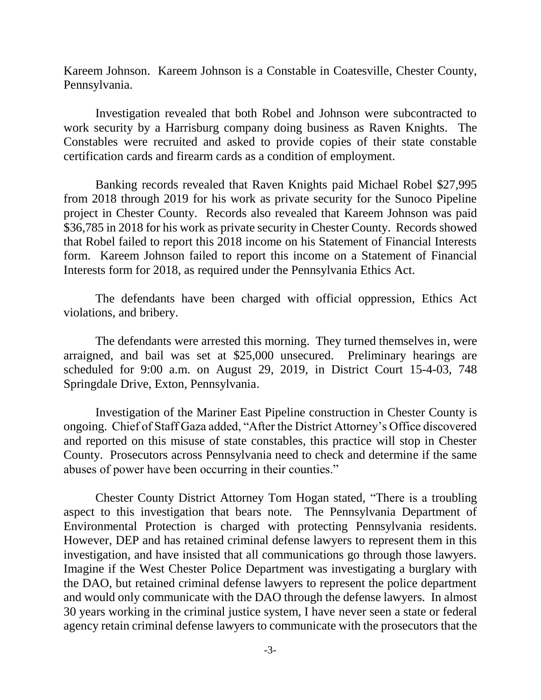Kareem Johnson. Kareem Johnson is a Constable in Coatesville, Chester County, Pennsylvania.

Investigation revealed that both Robel and Johnson were subcontracted to work security by a Harrisburg company doing business as Raven Knights. The Constables were recruited and asked to provide copies of their state constable certification cards and firearm cards as a condition of employment.

Banking records revealed that Raven Knights paid Michael Robel \$27,995 from 2018 through 2019 for his work as private security for the Sunoco Pipeline project in Chester County. Records also revealed that Kareem Johnson was paid \$36,785 in 2018 for his work as private security in Chester County. Records showed that Robel failed to report this 2018 income on his Statement of Financial Interests form. Kareem Johnson failed to report this income on a Statement of Financial Interests form for 2018, as required under the Pennsylvania Ethics Act.

The defendants have been charged with official oppression, Ethics Act violations, and bribery.

The defendants were arrested this morning. They turned themselves in, were arraigned, and bail was set at \$25,000 unsecured. Preliminary hearings are scheduled for 9:00 a.m. on August 29, 2019, in District Court 15-4-03, 748 Springdale Drive, Exton, Pennsylvania.

Investigation of the Mariner East Pipeline construction in Chester County is ongoing. Chief of Staff Gaza added, "After the District Attorney's Office discovered and reported on this misuse of state constables, this practice will stop in Chester County. Prosecutors across Pennsylvania need to check and determine if the same abuses of power have been occurring in their counties."

Chester County District Attorney Tom Hogan stated, "There is a troubling aspect to this investigation that bears note. The Pennsylvania Department of Environmental Protection is charged with protecting Pennsylvania residents. However, DEP and has retained criminal defense lawyers to represent them in this investigation, and have insisted that all communications go through those lawyers. Imagine if the West Chester Police Department was investigating a burglary with the DAO, but retained criminal defense lawyers to represent the police department and would only communicate with the DAO through the defense lawyers. In almost 30 years working in the criminal justice system, I have never seen a state or federal agency retain criminal defense lawyers to communicate with the prosecutors that the